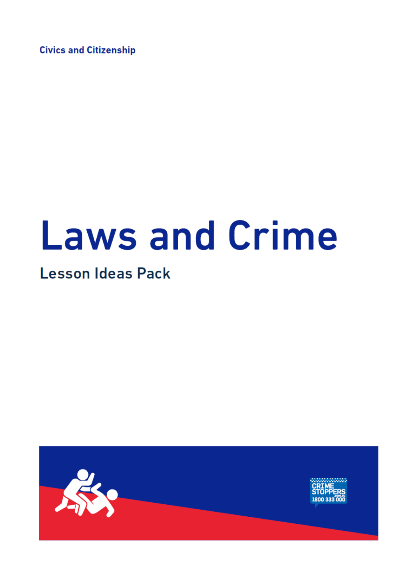**Civics and Citizenship** 

# **Laws and Crime**

# **Lesson Ideas Pack**

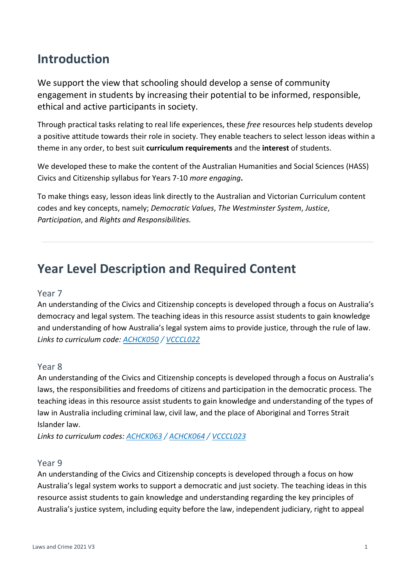# **Introduction**

We support the view that schooling should develop a sense of community engagement in students by increasing their potential to be informed, responsible, ethical and active participants in society.

Through practical tasks relating to real life experiences, these *free* resources help students develop a positive attitude towards their role in society. They enable teachers to select lesson ideas within a theme in any order, to best suit **curriculum requirements** and the **interest** of students.

We developed these to make the content of the Australian Humanities and Social Sciences (HASS) Civics and Citizenship syllabus for Years 7-10 *more engaging***.**

To make things easy, lesson ideas link directly to the Australian and Victorian Curriculum content codes and key concepts, namely; *Democratic Values*, *The Westminster System*, *Justice*, *Participation*, and *Rights and Responsibilities.*

# **Year Level Description and Required Content**

# Year 7

An understanding of the Civics and Citizenship concepts is developed through a focus on Australia's democracy and legal system. The teaching ideas in this resource assist students to gain knowledge and understanding of how Australia's legal system aims to provide justice, through the rule of law. *Links to curriculum code: [ACHCK050](http://www.scootle.edu.au/ec/search?accContentId=ACHCK050&userlevel=%280%29) / [VCCCL022](https://victoriancurriculum.vcaa.vic.edu.au/Curriculum/ContentDescription/VCCCL022)*

# Year 8

An understanding of the Civics and Citizenship concepts is developed through a focus on Australia's laws, the responsibilities and freedoms of citizens and participation in the democratic process. The teaching ideas in this resource assist students to gain knowledge and understanding of the types of law in Australia including criminal law, civil law, and the place of Aboriginal and Torres Strait Islander law.

*Links to curriculum codes[: ACHCK063](http://www.scootle.edu.au/ec/search?accContentId=ACHCK063&userlevel=%280%29) / [ACHCK064](http://www.scootle.edu.au/ec/search?accContentId=ACHCK064&userlevel=%280%29) [/ VCCCL023](https://victoriancurriculum.vcaa.vic.edu.au/Curriculum/ContentDescription/VCCCL023)*

## Year 9

An understanding of the Civics and Citizenship concepts is developed through a focus on how Australia's legal system works to support a democratic and just society. The teaching ideas in this resource assist students to gain knowledge and understanding regarding the key principles of Australia's justice system, including equity before the law, independent judiciary, right to appeal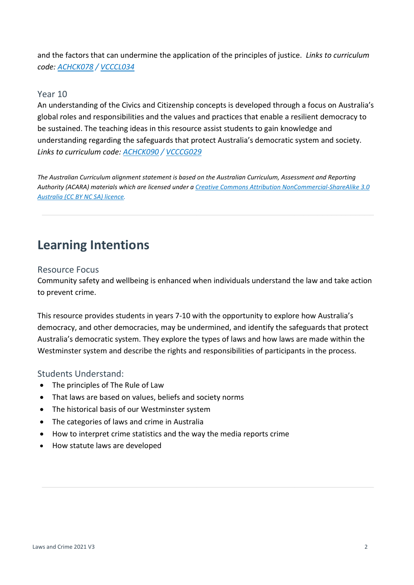and the factors that can undermine the application of the principles of justice. *Links to curriculum code: [ACHCK078](http://www.scootle.edu.au/ec/search?accContentId=ACHCK078&userlevel=%280%29) / [VCCCL034](https://victoriancurriculum.vcaa.vic.edu.au/Curriculum/ContentDescription/VCCCL034)*

## Year 10

An understanding of the Civics and Citizenship concepts is developed through a focus on Australia's global roles and responsibilities and the values and practices that enable a resilient democracy to be sustained. The teaching ideas in this resource assist students to gain knowledge and understanding regarding the safeguards that protect Australia's democratic system and society. *Links to curriculum code: [ACHCK090](http://www.scootle.edu.au/ec/search?accContentId=ACHCK090&userlevel=%280%29) / [VCCCG029](https://victoriancurriculum.vcaa.vic.edu.au/Curriculum/ContentDescription/VCCCG029)*

*The Australian Curriculum alignment statement is based on the Australian Curriculum, Assessment and Reporting Authority (ACARA) materials which are licensed under a [Creative Commons Attribution NonCommercial-ShareAlike 3.0](https://creativecommons.org/licenses/by-nc-sa/3.0/au/)  [Australia \(CC BY NC SA\) licence.](https://creativecommons.org/licenses/by-nc-sa/3.0/au/)*

# **Learning Intentions**

## Resource Focus

Community safety and wellbeing is enhanced when individuals understand the law and take action to prevent crime.

This resource provides students in years 7-10 with the opportunity to explore how Australia's [democracy,](http://k10outline.scsa.wa.edu.au/home/p-10-curriculum/curriculum-browser/humanities-and-social-sciences/humanities-overview/glossary/democracy) and other democracies, may be undermined, and identify the safeguards that protect Australia's democratic [system.](http://k10outline.scsa.wa.edu.au/home/p-10-curriculum/curriculum-browser/humanities-and-social-sciences/humanities-overview/glossary/system) They explore the types of laws and how laws are made within the Westminster [system](http://k10outline.scsa.wa.edu.au/home/p-10-curriculum/curriculum-browser/humanities-and-social-sciences/humanities-overview/glossary/system) and describe th[e rights and responsibilities](http://k10outline.scsa.wa.edu.au/home/p-10-curriculum/curriculum-browser/humanities-and-social-sciences/humanities-overview/glossary/rights-and-responsibilities) of participants in the process.

## Students Understand:

- The principles of The Rule of Law
- That laws are based on values, beliefs and society norms
- The historical basis of our Westminster system
- The categories of laws and crime in Australia
- How to interpret crime statistics and the way the media reports crime
- How statute laws are developed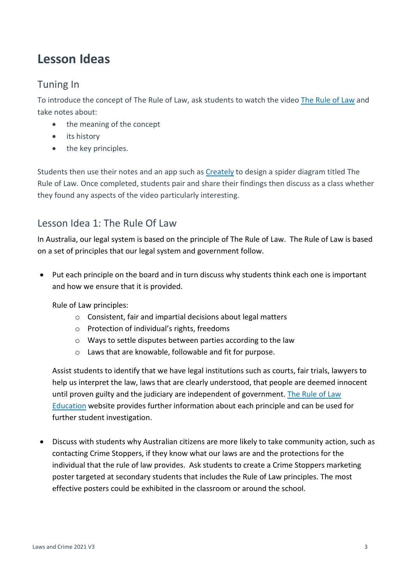# **Lesson Ideas**

# Tuning In

To introduce the concept of The Rule of Law, ask students to watch the vide[o The Rule of Law](https://www.bing.com/videos/search?q=video+that+explains+the+ruleoflaw&docid=607986606552646806&mid=AF70939532E7EC5041C9AF70939532E7EC5041C9&view=detail&FORM=VIRE) and take notes about:

- the meaning of the concept
- its history
- the key principles.

Students then use their notes and an app such as [Creately](https://creately.com/lp/spider-diagram-maker-online/) to design a spider diagram titled The Rule of Law. Once completed, students pair and share their findings then discuss as a class whether they found any aspects of the video particularly interesting.

# Lesson Idea 1: The Rule Of Law

In Australia, our legal system is based on the principle of The Rule of Law. The Rule of Law is based on a set of principles that our legal system and government follow.

• Put each principle on the board and in turn discuss why students think each one is important and how we ensure that it is provided.

Rule of Law principles:

- o Consistent, fair and impartial decisions about legal matters
- o Protection of individual's rights, freedoms
- o Ways to settle disputes between parties according to the law
- o Laws that are knowable, followable and fit for purpose.

Assist students to identify that we have legal institutions such as courts, fair trials, lawyers to help us interpret the law, laws that are clearly understood, that people are deemed innocent until proven guilty and the judiciary are independent of government. [The Rule of Law](http://www.ruleoflaw.org.au/education/) [Education](http://www.ruleoflaw.org.au/education/) website provides further information about each principle and can be used for further student investigation.

• Discuss with students why Australian citizens are more likely to take community action, such as contacting Crime Stoppers, if they know what our laws are and the protections for the individual that the rule of law provides. Ask students to create a Crime Stoppers marketing poster targeted at secondary students that includes the Rule of Law principles. The most effective posters could be exhibited in the classroom or around the school.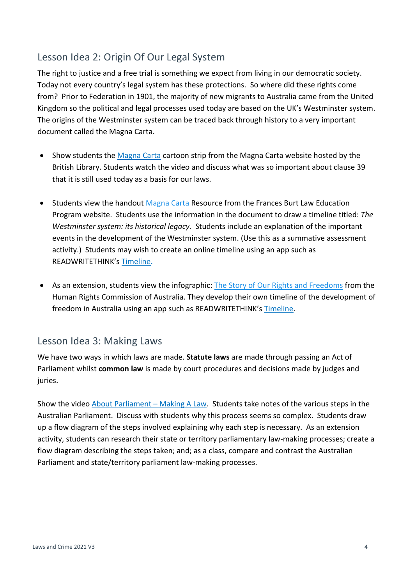# Lesson Idea 2: Origin Of Our Legal System

The right to justice and a free trial is something we expect from living in our democratic society. Today not every country's legal system has these protections. So where did these rights come from? Prior to Federation in 1901, the majority of new migrants to Australia came from the United Kingdom so the political and legal processes used today are based on the UK's Westminster system. The origins of the Westminster system can be traced back through history to a very important document called the Magna Carta.

- Show students th[e Magna Carta](http://www.bl.uk/magna-carta/articles/magna-carta-an-introduction) cartoon strip from the Magna Carta website hosted by the British Library. Students watch the video and discuss what was so important about clause 39 that it is still used today as a basis for our laws.
- Students view the handout [Magna Carta](https://www.lawsocietywa.asn.au/wp-content/uploads/2015/09/2015-FBLEP-Magna-Carta-Student-Resource.pdf) Resource from the Frances Burt Law Education Program website. Students use the information in the document to draw a timeline titled: *The Westminster system: its historical legacy.* Students include an explanation of the important events in the development of the Westminster system. (Use this as a summative assessment activity.) Students may wish to create an online timeline using an app such as READWRITETHINK's [Timeline.](http://www.readwritethink.org/files/resources/interactives/timeline_2/)
- As an extension, students view the infographic: [The Story of Our Rights and Freedoms](https://humanrights.gov.au/education/teachers/story-our-rights-and-freedoms) from the Human Rights Commission of Australia. They develop their own timeline of the development of freedom in Australia using an app such as READWRITETHINK's [Timeline.](http://www.readwritethink.org/files/resources/interactives/timeline_2/)

# Lesson Idea 3: Making Laws

We have two ways in which laws are made. **Statute laws** are made through passing an Act of Parliament whilst **common law** is made by court procedures and decisions made by judges and juries.

Show the video [About Parliament –](https://peo.gov.au/understand-our-parliament/how-parliament-works/bills-and-laws/making-a-law/) Making A Law. Students take notes of the various steps in the Australian Parliament. Discuss with students why this process seems so complex. Students draw up a flow diagram of the steps involved explaining why each step is necessary. As an extension activity, students can research their state or territory parliamentary law-making processes; create a flow diagram describing the steps taken; and; as a class, compare and contrast the Australian Parliament and state/territory parliament law-making processes.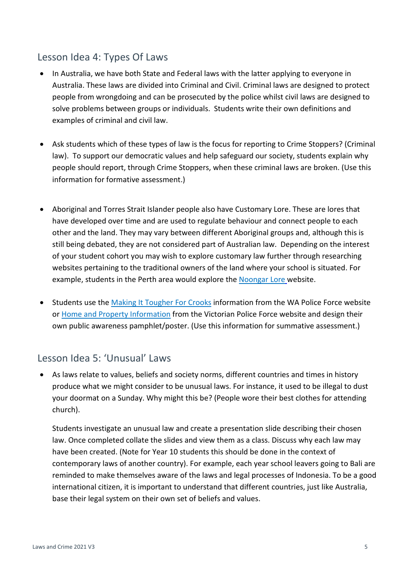# Lesson Idea 4: Types Of Laws

- In Australia, we have both State and Federal laws with the latter applying to everyone in Australia. These laws are divided into Criminal and Civil. Criminal laws are designed to protect people from wrongdoing and can be prosecuted by the police whilst civil laws are designed to solve problems between groups or individuals. Students write their own definitions and examples of criminal and civil law.
- Ask students which of these types of law is the focus for reporting to Crime Stoppers? (Criminal law). To support our democratic values and help safeguard our society, students explain why people should report, through Crime Stoppers, when these criminal laws are broken. (Use this information for formative assessment.)
- Aboriginal and Torres Strait Islander people also have Customary Lore. These are lores that have developed over time and are used to regulate behaviour and connect people to each other and the land. They may vary between different Aboriginal groups and, although this is still being debated, they are not considered part of Australian law. Depending on the interest of your student cohort you may wish to explore customary law further through researching websites pertaining to the traditional owners of the land where your school is situated. For example, students in the Perth area would explore the [Noongar Lore](http://www.noongarculture.org.au/noongar-lore/) website.
- Students use the Making [It Tougher For Crooks](https://www.police.wa.gov.au/About-Us/News/Making-it-Tougher-for-Crooks) information from the WA Police Force website or [Home and Property Information](https://www.police.vic.gov.au/home-and-property) from the Victorian Police Force website and design their own public awareness pamphlet/poster. (Use this information for summative assessment.)

# Lesson Idea 5: 'Unusual' Laws

• As laws relate to values, beliefs and society norms, different countries and times in history produce what we might consider to be unusual laws. For instance, it used to be illegal to dust your doormat on a Sunday. Why might this be? (People wore their best clothes for attending church).

Students investigate an unusual law and create a presentation slide describing their chosen law. Once completed collate the slides and view them as a class. Discuss why each law may have been created. (Note for Year 10 students this should be done in the context of contemporary laws of another country). For example, each year school leavers going to Bali are reminded to make themselves aware of the laws and legal processes of Indonesia. To be a good international citizen, it is important to understand that different countries, just like Australia, base their legal system on their own set of beliefs and values.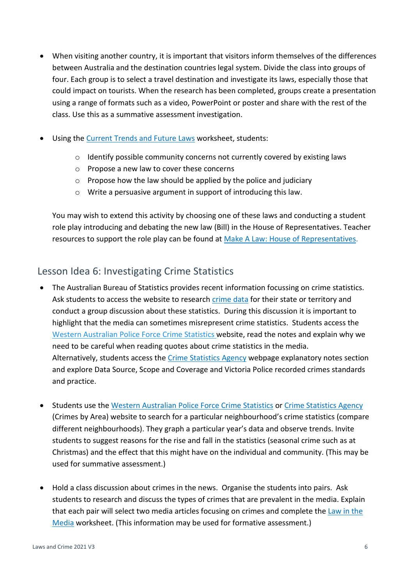- When visiting another country, it is important that visitors inform themselves of the differences between Australia and the destination countries legal system. Divide the class into groups of four. Each group is to select a travel destination and investigate its laws, especially those that could impact on tourists. When the research has been completed, groups create a presentation using a range of formats such as a video, PowerPoint or poster and share with the rest of the class. Use this as a summative assessment investigation.
- Using the [Current Trends and Future Laws](https://www.crimestopperswa.com.au/cswp/wp-content/uploads/2021/01/Current-Trends-and-Future-Laws.pdf) worksheet, students:
	- o Identify possible community concerns not currently covered by existing laws
	- o Propose a new law to cover these concerns
	- o Propose how the law should be applied by the police and judiciary
	- o Write a persuasive argument in support of introducing this law.

You may wish to extend this activity by choosing one of these laws and conducting a student role play introducing and debating the new law (Bill) in the House of Representatives. Teacher resources to support the role play can be found at [Make A Law: House of Representatives.](https://peo.gov.au/teach-our-parliament/classroom-activities/parliamentary-processes-and-practices/make-a-law-house-of-representatives/)

# Lesson Idea 6: Investigating Crime Statistics

- The Australian Bureau of Statistics provides recent information focussing on crime statistics. Ask students to access the website to research [crime data](https://www.abs.gov.au/statistics/people/crime-and-justice/recorded-crime-victims-australia/latest-release) for their state or territory and conduct a group discussion about these statistics. During this discussion it is important to highlight that the media can sometimes misrepresent crime statistics. Students access the [Western Australian](https://www.police.wa.gov.au/Crime/CrimeStatistics#/) Police Force Crime Statistics website, read the notes and explain why we need to be careful when reading quotes about crime statistics in the media. Alternatively, students access the [Crime Statistics Agency](https://www.crimestatistics.vic.gov.au/about-the-data/explanatory-notes) webpage explanatory notes section and explore Data Source, Scope and Coverage and Victoria Police recorded crimes standards and practice.
- Students use th[e Western Australian Police Force Crime Statistics](https://www.police.wa.gov.au/Crime/CrimeStatistics#/) or [Crime Statistics Agency](https://www.crimestatistics.vic.gov.au/crime-statistics/latest-crime-data-by-area) (Crimes by Area) website to search for a particular neighbourhood's crime statistics (compare different neighbourhoods). They graph a particular year's data and observe trends. Invite students to suggest reasons for the rise and fall in the statistics (seasonal crime such as at Christmas) and the effect that this might have on the individual and community. (This may be used for summative assessment.)
- Hold a class discussion about crimes in the news. Organise the students into pairs. Ask students to research and discuss the types of crimes that are prevalent in the media. Explain that each pair will select two media articles focusing on crimes and complete the Law in the [Media](https://www.crimestopperswa.com.au/cswp/wp-content/uploads/2021/01/Law-In-The-Media.pdf) worksheet. (This information may be used for formative assessment.)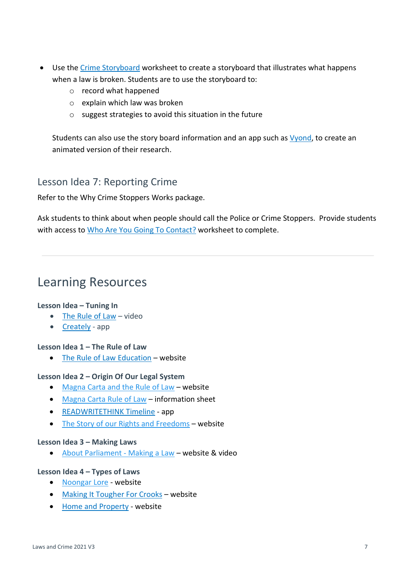- Use the [Crime Storyboard](https://www.crimestopperswa.com.au/cswp/wp-content/uploads/2021/01/Crime-Storyboard-Sheet.pdf) worksheet to create a storyboard that illustrates what happens when a law is broken. Students are to use the storyboard to:
	- o record what happened
	- o explain which law was broken
	- o suggest strategies to avoid this situation in the future

Students can also use the story board information and an app such a[s Vyond,](https://www.vyond.com/) to create an animated version of their research.

# Lesson Idea 7: Reporting Crime

Refer to the Why Crime Stoppers Works package.

Ask students to think about when people should call the Police or Crime Stoppers. Provide students with access to [Who Are You Going To Contact?](https://www.crimestopperswa.com.au/cswp/wp-content/uploads/2021/01/Who-Are-You-Going-To-Contact-sheet-LC.pdf) worksheet to complete.

# Learning Resources

## **Lesson Idea – Tuning In**

- [The Rule of Law](https://www.bing.com/videos/search?q=video+that+explains+the+ruleoflaw&docid=607986606552646806&mid=AF70939532E7EC5041C9AF70939532E7EC5041C9&view=detail&FORM=VIRE) video
- [Creately](https://creately.com/lp/spider-diagram-maker-online/) app

## **Lesson Idea 1 – The Rule of Law**

• [The Rule of Law](http://www.ruleoflaw.org.au/education/) Education – website

## **Lesson Idea 2 – Origin Of Our Legal System**

- [Magna Carta and the Rule of Law](http://www.bl.uk/magna-carta/articles/magna-carta-an-introduction) website
- [Magna Carta Rule of Law](https://www.lawsocietywa.asn.au/wp-content/uploads/2015/09/2015-FBLEP-Magna-Carta-Student-Resource.pdf) information sheet
- [READWRITETHINK Timeline](http://www.readwritethink.org/files/resources/interactives/timeline_2/) app
- [The Story of our Rights and Freedoms](https://humanrights.gov.au/education/teachers/story-our-rights-and-freedoms) website

#### **Lesson Idea 3 – Making Laws**

• [About Parliament -](https://peo.gov.au/understand-our-parliament/how-parliament-works/bills-and-laws/making-a-law/) Making a Law – website & video

## **Lesson Idea 4 – Types of Laws**

- [Noongar Lore](http://www.noongarculture.org.au/noongar-lore/) website
- [Making It Tougher For Crooks](https://www.police.wa.gov.au/About-Us/News/Making-it-Tougher-for-Crooks) website
- [Home and Property](https://www.police.vic.gov.au/home-and-property) website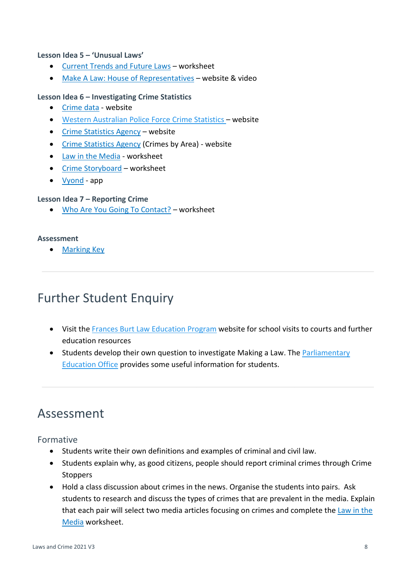## **Lesson Idea 5 – 'Unusual Laws'**

- [Current Trends and Future Laws](https://www.crimestopperswa.com.au/cswp/wp-content/uploads/2021/01/Current-Trends-and-Future-Laws.pdf) *–* worksheet
- [Make A Law: House of Representatives](https://peo.gov.au/teach-our-parliament/classroom-activities/parliamentary-processes-and-practices/make-a-law-house-of-representatives/) website & video

#### **Lesson Idea 6 – Investigating Crime Statistics**

- [Crime data](https://www.abs.gov.au/statistics/people/crime-and-justice/recorded-crime-victims-australia/latest-release) website
- [Western Australian](https://www.police.wa.gov.au/Crime/CrimeStatistics#/) Police Force Crime Statistics website
- [Crime Statistics Agency](https://www.crimestatistics.vic.gov.au/about-the-data/explanatory-notes) website
- [Crime Statistics Agency](https://www.crimestatistics.vic.gov.au/crime-statistics/latest-crime-data-by-area) (Crimes by Area) website
- [Law in the Media](https://www.crimestopperswa.com.au/cswp/wp-content/uploads/2021/01/Law-In-The-Media.pdf) worksheet
- [Crime Storyboard](https://www.crimestopperswa.com.au/cswp/wp-content/uploads/2021/01/Crime-Storyboard-Sheet.pdf) worksheet
- [Vyond](https://www.vyond.com/) app

#### **Lesson Idea 7 – Reporting Crime**

• [Who Are You Going To Contact?](https://www.crimestopperswa.com.au/cswp/wp-content/uploads/2021/01/Who-Are-You-Going-To-Contact-sheet-LC.pdf) *–* worksheet

#### **Assessment**

• [Marking Key](https://www.crimestopperswa.com.au/cswp/wp-content/uploads/2021/08/Marking-key-Assessment-rubric-2021-final.pdf)

# Further Student Enquiry

- Visit the [Frances Burt Law Education Program](https://www.lawsocietywa.asn.au/community/francis-burt-law-education-programme/) website for school visits to courts and further education resources
- Students develop their own question to investigate Making a Law. The Parliamentary [Education Office](http://www.peo.gov.au/learning/fact-sheets/making-a-law.htm) provides some useful information for students.

# Assessment

## Formative

- Students write their own definitions and examples of criminal and civil law.
- Students explain why, as good citizens, people should report criminal crimes through Crime Stoppers
- Hold a class discussion about crimes in the news. Organise the students into pairs. Ask students to research and discuss the types of crimes that are prevalent in the media. Explain that each pair will select two media articles focusing on crimes and complete the [Law in the](https://www.crimestopperswa.com.au/cswp/wp-content/uploads/2021/01/Law-In-The-Media.pdf)  [Media](https://www.crimestopperswa.com.au/cswp/wp-content/uploads/2021/01/Law-In-The-Media.pdf) worksheet.